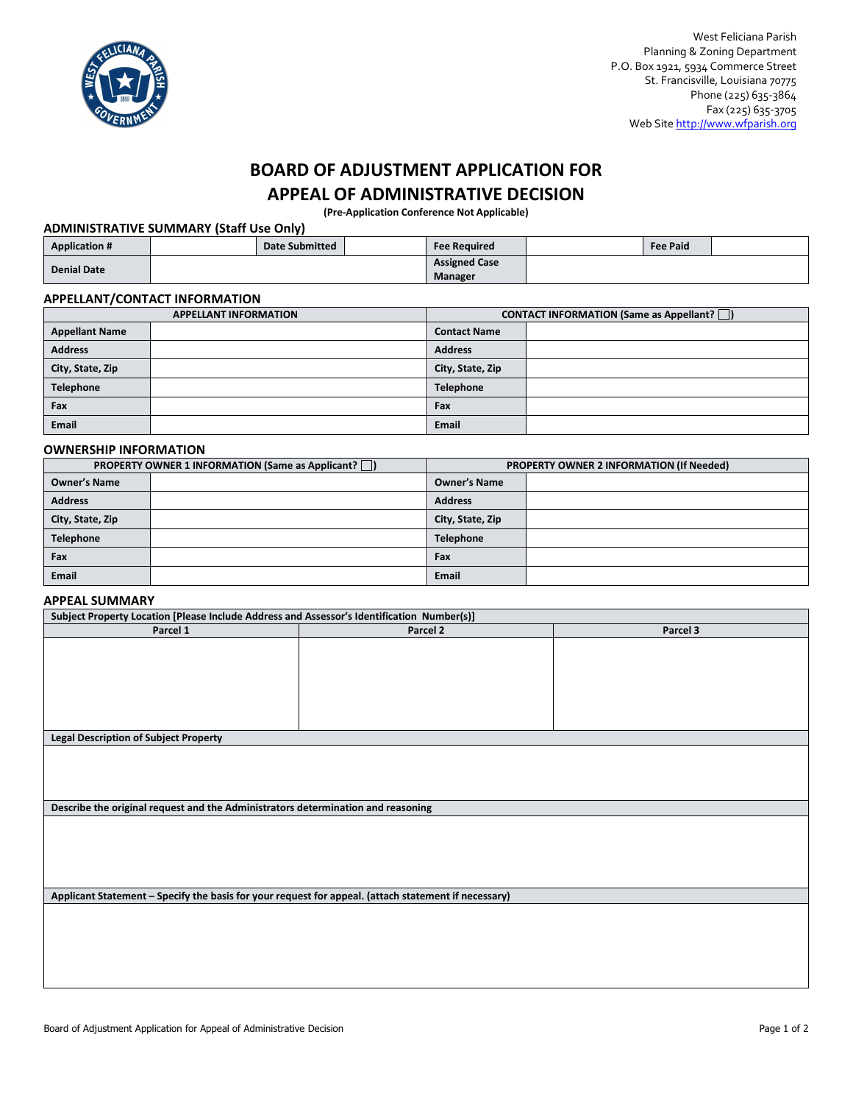

# **BOARD OF ADJUSTMENT APPLICATION FOR APPEAL OF ADMINISTRATIVE DECISION**

**(Pre-Application Conference Not Applicable)**

## **ADMINISTRATIVE SUMMARY (Staff Use Only)**

| <b>Application #</b> | <b>Date Submitted</b> | <b>Fee Required</b>  | <b>Fee Paid</b> |  |
|----------------------|-----------------------|----------------------|-----------------|--|
| <b>Denial Date</b>   |                       | <b>Assigned Case</b> |                 |  |
|                      |                       | Manager              |                 |  |

#### **APPELLANT/CONTACT INFORMATION**

| <b>APPELLANT INFORMATION</b> |  | CONTACT INFORMATION (Same as Appellant?  ) |  |
|------------------------------|--|--------------------------------------------|--|
| <b>Appellant Name</b>        |  | <b>Contact Name</b>                        |  |
| <b>Address</b>               |  | <b>Address</b>                             |  |
| City, State, Zip             |  | City, State, Zip                           |  |
| Telephone                    |  | <b>Telephone</b>                           |  |
| Fax                          |  | Fax                                        |  |
| Email                        |  | <b>Email</b>                               |  |

#### **OWNERSHIP INFORMATION**

| <b>PROPERTY OWNER 1 INFORMATION (Same as Applicant?</b>    ) |  | <b>PROPERTY OWNER 2 INFORMATION (If Needed)</b> |  |
|--------------------------------------------------------------|--|-------------------------------------------------|--|
| <b>Owner's Name</b>                                          |  | <b>Owner's Name</b>                             |  |
| <b>Address</b>                                               |  | <b>Address</b>                                  |  |
| City, State, Zip                                             |  | City, State, Zip                                |  |
| Telephone                                                    |  | <b>Telephone</b>                                |  |
| Fax                                                          |  | Fax                                             |  |
| Email                                                        |  | <b>Email</b>                                    |  |

#### **APPEAL SUMMARY**

| Subject Property Location [Please Include Address and Assessor's Identification Number(s)]           |          |          |  |  |
|------------------------------------------------------------------------------------------------------|----------|----------|--|--|
| Parcel 1                                                                                             | Parcel 2 | Parcel 3 |  |  |
|                                                                                                      |          |          |  |  |
|                                                                                                      |          |          |  |  |
|                                                                                                      |          |          |  |  |
|                                                                                                      |          |          |  |  |
|                                                                                                      |          |          |  |  |
|                                                                                                      |          |          |  |  |
|                                                                                                      |          |          |  |  |
| <b>Legal Description of Subject Property</b>                                                         |          |          |  |  |
|                                                                                                      |          |          |  |  |
|                                                                                                      |          |          |  |  |
|                                                                                                      |          |          |  |  |
|                                                                                                      |          |          |  |  |
| Describe the original request and the Administrators determination and reasoning                     |          |          |  |  |
|                                                                                                      |          |          |  |  |
|                                                                                                      |          |          |  |  |
|                                                                                                      |          |          |  |  |
|                                                                                                      |          |          |  |  |
|                                                                                                      |          |          |  |  |
|                                                                                                      |          |          |  |  |
| Applicant Statement - Specify the basis for your request for appeal. (attach statement if necessary) |          |          |  |  |
|                                                                                                      |          |          |  |  |
|                                                                                                      |          |          |  |  |
|                                                                                                      |          |          |  |  |
|                                                                                                      |          |          |  |  |
|                                                                                                      |          |          |  |  |
|                                                                                                      |          |          |  |  |